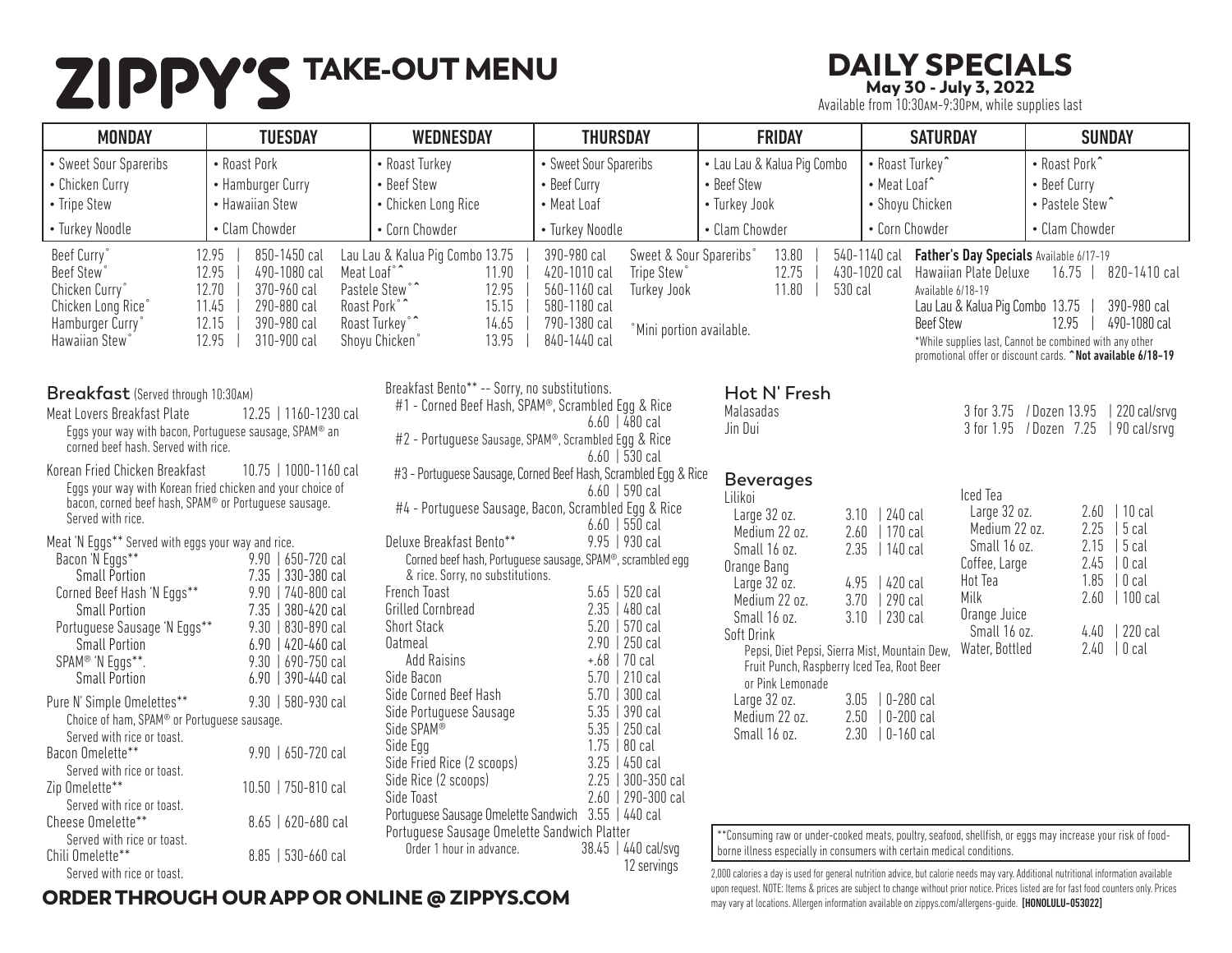# **ZIPPY'S TAKE-OUT MENU** DAILY SPECIALS<br>May 30 - July 3, 2022<br>May 30 - July 3, 2022

May 30 - July 3, 2022

Available from 10:30am-9:30pm, while supplies last

| <b>MONDAY</b>                                                                                                                                                                                               | <b>TUESDAY</b>                                                                                                                                               | <b>WEDNESDAY</b>                                                                                                                                             | <b>THURSDAY</b>                                                                                                                                                                                                                    | <b>FRIDAY</b>                                                                                                                              | <b>SATURDAY</b>                                                                                                                                                                                                                                                                                                              | <b>SUNDAY</b>                                                                                                                                                                          |
|-------------------------------------------------------------------------------------------------------------------------------------------------------------------------------------------------------------|--------------------------------------------------------------------------------------------------------------------------------------------------------------|--------------------------------------------------------------------------------------------------------------------------------------------------------------|------------------------------------------------------------------------------------------------------------------------------------------------------------------------------------------------------------------------------------|--------------------------------------------------------------------------------------------------------------------------------------------|------------------------------------------------------------------------------------------------------------------------------------------------------------------------------------------------------------------------------------------------------------------------------------------------------------------------------|----------------------------------------------------------------------------------------------------------------------------------------------------------------------------------------|
| • Sweet Sour Spareribs<br>• Chicken Curry<br>• Tripe Stew                                                                                                                                                   | • Roast Pork<br>• Hamburger Curry<br>• Hawaiian Stew                                                                                                         | • Roast Turkey<br>• Beef Stew<br>• Chicken Long Rice                                                                                                         | • Sweet Sour Spareribs<br>• Beef Curry<br>• Meat Loaf                                                                                                                                                                              | • Lau Lau & Kalua Pig Combo<br>• Beef Stew<br>• Turkey Jook                                                                                | • Roast Turkey^<br>• Meat Loaf^<br>• Shoyu Chicken                                                                                                                                                                                                                                                                           | • Roast Pork^<br>• Beef Curry<br>• Pastele Stew <sup>^</sup>                                                                                                                           |
| • Turkey Noodle                                                                                                                                                                                             | • Clam Chowder                                                                                                                                               | • Corn Chowder                                                                                                                                               | • Turkey Noodle                                                                                                                                                                                                                    | • Clam Chowder                                                                                                                             | • Corn Chowder                                                                                                                                                                                                                                                                                                               | • Clam Chowder                                                                                                                                                                         |
| Beef Curry<br>Beef Stew <sup>®</sup><br>Chicken Curry°<br>Chicken Long Rice <sup>®</sup><br>Hamburger Curry'<br>Hawaiian Stew <sup>®</sup>                                                                  | 12.95<br>850-1450 cal<br>12.95<br>490-1080 cal<br>Meat Loaf°<br>12.70<br>370-960 cal<br>290-880 cal<br>11.45<br>12.15<br>390-980 cal<br>310-900 cal<br>12.95 | Lau Lau & Kalua Pig Combo 13.75<br>11.90<br>Pastele Stew°^<br>12.95<br>15.15<br>Roast Pork <sup>°</sup><br>Roast Turkey°<br>14.65<br>13.95<br>Shoyu Chicken° | 390-980 cal<br>Sweet & Sour Spareribs°<br>420-1010 cal<br>Tripe Stew°<br>560-1160 cal<br><b>Turkey Jook</b><br>580-1180 cal<br>790-1380 cal<br>°Mini portion available.<br>840-1440 cal                                            | 13.80<br>12.75<br>11.80<br>530 cal                                                                                                         | 540-1140 cal<br>Father's Day Specials Available 6/17-19<br>430-1020 cal<br>Hawaiian Plate Deluxe<br>Available 6/18-19<br>Lau Lau & Kalua Pig Combo 13.75<br><b>Beef Stew</b>                                                                                                                                                 | 16.75   820-1410 cal<br>390-980 cal<br>12.95<br>490-1080 cal<br>*While supplies last, Cannot be combined with any other<br>promotional offer or discount cards. ^Not available 6/18-19 |
| Breakfast (Served through 10:30AM)<br>Meat Lovers Breakfast Plate<br>Eggs your way with bacon, Portuguese sausage, SPAM® an<br>corned beef hash. Served with rice.<br>Korean Fried Chicken Breakfast        | 12.25   1160-1230 cal<br>10.75   1000-1160 cal                                                                                                               | Breakfast Bento** -- Sorry, no substitutions.                                                                                                                | #1 - Corned Beef Hash, SPAM®, Scrambled Egg & Rice<br>$6.60$   480 cal<br>#2 - Portuguese Sausage, SPAM <sup>®</sup> , Scrambled Egg & Rice<br>$6.60$   530 cal<br>#3 - Portuguese Sausage, Corned Beef Hash, Scrambled Egg & Rice | Hot N' Fresh<br>Malasadas<br>Jin Dui                                                                                                       |                                                                                                                                                                                                                                                                                                                              | 220 cal/srvg<br>3 for 3.75 / Dozen 13.95<br>3 for 1.95 / Dozen 7.25<br>  90 cal/srvq                                                                                                   |
| Eggs your way with Korean fried chicken and your choice of<br>bacon, corned beef hash, SPAM® or Portuguese sausage.<br>Served with rice.                                                                    |                                                                                                                                                              |                                                                                                                                                              | $6.60$   590 cal<br>#4 - Portuguese Sausage, Bacon, Scrambled Egg & Rice<br>$6.60$   550 cal                                                                                                                                       | <b>Beverages</b><br>Lilikoi<br>Large 32 oz.<br>3.10                                                                                        | Iced Tea<br>Large 32 oz.<br>  240 cal                                                                                                                                                                                                                                                                                        | 2.60<br>$ 10 \text{ cal}$                                                                                                                                                              |
| Meat 'N Eggs** Served with eggs your way and rice.<br>Bacon 'N Eggs**<br><b>Small Portion</b><br>Corned Beef Hash 'N Eggs**<br><b>Small Portion</b><br>Portuguese Sausage 'N Eggs**<br><b>Small Portion</b> | 9.90   650-720 cal<br>7.35   330-380 cal<br>9.90   740-800 cal<br>7.35   380-420 cal<br>9.30   830-890 cal<br>$6.90$   420-460 cal                           | Deluxe Breakfast Bento**<br>& rice. Sorry, no substitutions.<br>French Toast<br>Grilled Cornbread<br><b>Short Stack</b><br><b>Oatmeal</b>                    | 9.95   930 cal<br>Corned beef hash, Portuguese sausage, SPAM®, scrambled egg<br>$5.65$   520 cal<br>$2.35$   480 cal<br>$5.20$   570 cal<br>$2.90$   250 cal                                                                       | Medium 22 oz.<br>2.60<br>Small 16 oz.<br>Orange Bang<br>4.95<br>Large 32 oz.<br>3.70<br>Medium 22 oz.<br>Small 16 oz.<br><b>Soft Drink</b> | Medium 22 oz.<br>  170 cal<br>Small 16 oz.<br>$2.35$   140 cal<br>Coffee, Large<br>Hot Tea<br>  420 cal<br>Milk<br>  290 cal<br>Orange Juice<br>$3.10$   230 cal<br>Small 16 oz.                                                                                                                                             | 2.25<br>$ 5$ cal<br>2.15<br>$ 5$ cal<br>2.45<br>$ 0$ cal<br>1.85<br>$ 0$ cal<br>2.60<br>  100 cal<br>4.40   220 cal                                                                    |
| SPAM® 'N Eggs**.<br><b>Small Portion</b>                                                                                                                                                                    | 9.30   690-750 cal<br>$6.90$   390-440 cal                                                                                                                   | <b>Add Raisins</b><br>Side Bacon                                                                                                                             | $+.68$   70 cal<br>$5.70$   210 cal                                                                                                                                                                                                | Pepsi, Diet Pepsi, Sierra Mist, Mountain Dew,<br>Fruit Punch, Raspberry Iced Tea, Root Beer<br>or Pink Lemonade                            | Water, Bottled                                                                                                                                                                                                                                                                                                               | 2.40<br>$ 0$ cal                                                                                                                                                                       |
| Pure N' Simple Omelettes**<br>Choice of ham, SPAM® or Portuguese sausage.<br>Served with rice or toast.                                                                                                     | 9.30   580-930 cal                                                                                                                                           | Side Corned Beef Hash<br>Side Portuguese Sausage<br>Side SPAM®                                                                                               | $5.70$   300 cal<br>$5.35$   390 cal<br>$5.35$   250 cal                                                                                                                                                                           | Large 32 oz.<br>Medium 22 oz.<br>Small 16 oz.                                                                                              | 3.05   0-280 cal<br>$2.50$   0-200 cal<br>$2.30$ $  0-160$ cal                                                                                                                                                                                                                                                               |                                                                                                                                                                                        |
| Bacon Omelette**<br>Served with rice or toast.                                                                                                                                                              | 9.90   650-720 cal                                                                                                                                           | Side Egg<br>Side Fried Rice (2 scoops)<br>Side Rice (2 scoops)                                                                                               | $1.75$   80 cal<br>$3.25$   450 cal<br>2.25   300-350 cal                                                                                                                                                                          |                                                                                                                                            |                                                                                                                                                                                                                                                                                                                              |                                                                                                                                                                                        |
| Zip Omelette**<br>Served with rice or toast.<br>Cheese Omelette**                                                                                                                                           | 10.50   750-810 cal<br>8.65   620-680 cal                                                                                                                    | Side Toast<br>Portuguese Sausage Omelette Sandwich 3.55   440 cal                                                                                            | 2.60   290-300 cal                                                                                                                                                                                                                 |                                                                                                                                            |                                                                                                                                                                                                                                                                                                                              |                                                                                                                                                                                        |
| Served with rice or toast.<br>Chili Omelette**<br>Served with rice or toast.                                                                                                                                | 8.85   530-660 cal                                                                                                                                           | Portuguese Sausage Omelette Sandwich Platter<br>Order 1 hour in advance.                                                                                     | 38.45   440 cal/svg<br>12 servings                                                                                                                                                                                                 |                                                                                                                                            | **Consuming raw or under-cooked meats, poultry, seafood, shellfish, or eggs may increase your risk of food-<br>borne illness especially in consumers with certain medical conditions.<br>2,000 calories a day is used for general nutrition advice, but calorie needs may vary. Additional nutritional information available |                                                                                                                                                                                        |

## ORDER THROUGH OUR APP OR ONLINE @ ZIPPYS.COM

2,000 calories a day is used for general nutrition advice, but calorie needs may vary. Additional nutritional information available upon request. NOTE: Items & prices are subject to change without prior notice. Prices listed are for fast food counters only. Prices may vary at locations. Allergen information available on zippys.com/allergens-guide. [HONOLULU-053022]